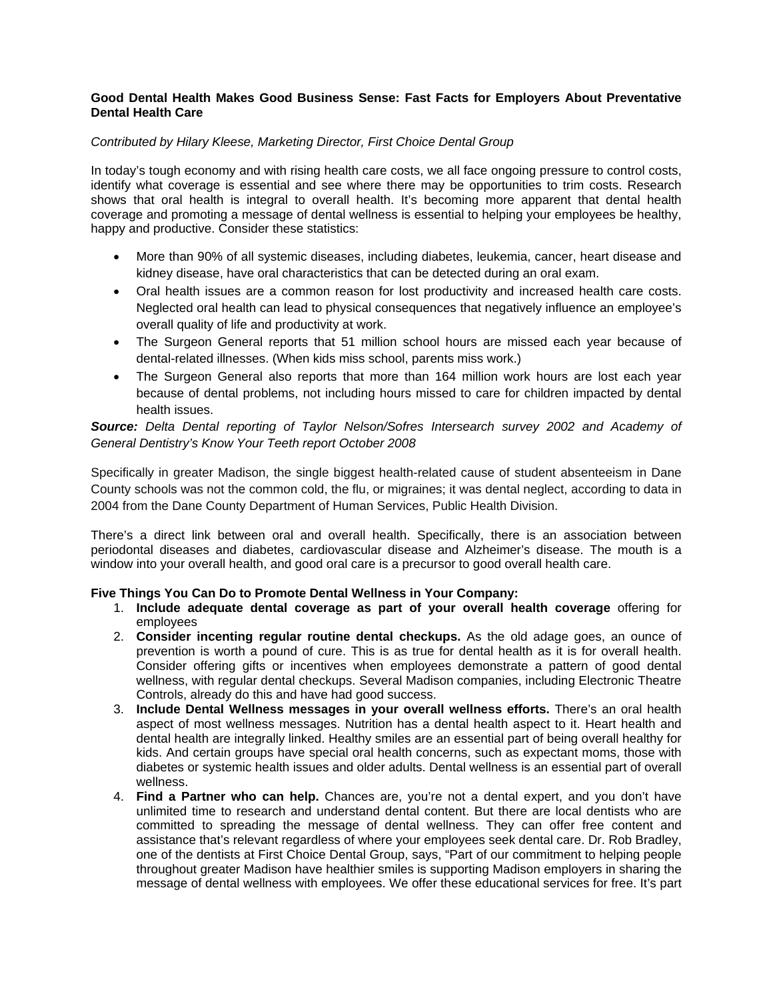## **Good Dental Health Makes Good Business Sense: Fast Facts for Employers About Preventative Dental Health Care**

## *Contributed by Hilary Kleese, Marketing Director, First Choice Dental Group*

In today's tough economy and with rising health care costs, we all face ongoing pressure to control costs, identify what coverage is essential and see where there may be opportunities to trim costs. Research shows that oral health is integral to overall health. It's becoming more apparent that dental health coverage and promoting a message of dental wellness is essential to helping your employees be healthy, happy and productive. Consider these statistics:

- More than 90% of all systemic diseases, including diabetes, leukemia, cancer, heart disease and kidney disease, have oral characteristics that can be detected during an oral exam.
- Oral health issues are a common reason for lost productivity and increased health care costs. Neglected oral health can lead to physical consequences that negatively influence an employee's overall quality of life and productivity at work.
- The Surgeon General reports that 51 million school hours are missed each year because of dental-related illnesses. (When kids miss school, parents miss work.)
- The Surgeon General also reports that more than 164 million work hours are lost each year because of dental problems, not including hours missed to care for children impacted by dental health issues.

## *Source: Delta Dental reporting of Taylor Nelson/Sofres Intersearch survey 2002 and Academy of General Dentistry's Know Your Teeth report October 2008*

Specifically in greater Madison, the single biggest health-related cause of student absenteeism in Dane County schools was not the common cold, the flu, or migraines; it was dental neglect, according to data in 2004 from the Dane County Department of Human Services, Public Health Division.

There's a direct link between oral and overall health. Specifically, there is an association between periodontal diseases and diabetes, cardiovascular disease and Alzheimer's disease. The mouth is a window into your overall health, and good oral care is a precursor to good overall health care.

## **Five Things You Can Do to Promote Dental Wellness in Your Company:**

- 1. **Include adequate dental coverage as part of your overall health coverage** offering for employees
- 2. **Consider incenting regular routine dental checkups.** As the old adage goes, an ounce of prevention is worth a pound of cure. This is as true for dental health as it is for overall health. Consider offering gifts or incentives when employees demonstrate a pattern of good dental wellness, with regular dental checkups. Several Madison companies, including Electronic Theatre Controls, already do this and have had good success.
- 3. **Include Dental Wellness messages in your overall wellness efforts.** There's an oral health aspect of most wellness messages. Nutrition has a dental health aspect to it. Heart health and dental health are integrally linked. Healthy smiles are an essential part of being overall healthy for kids. And certain groups have special oral health concerns, such as expectant moms, those with diabetes or systemic health issues and older adults. Dental wellness is an essential part of overall wellness.
- 4. **Find a Partner who can help.** Chances are, you're not a dental expert, and you don't have unlimited time to research and understand dental content. But there are local dentists who are committed to spreading the message of dental wellness. They can offer free content and assistance that's relevant regardless of where your employees seek dental care. Dr. Rob Bradley, one of the dentists at First Choice Dental Group, says, "Part of our commitment to helping people throughout greater Madison have healthier smiles is supporting Madison employers in sharing the message of dental wellness with employees. We offer these educational services for free. It's part